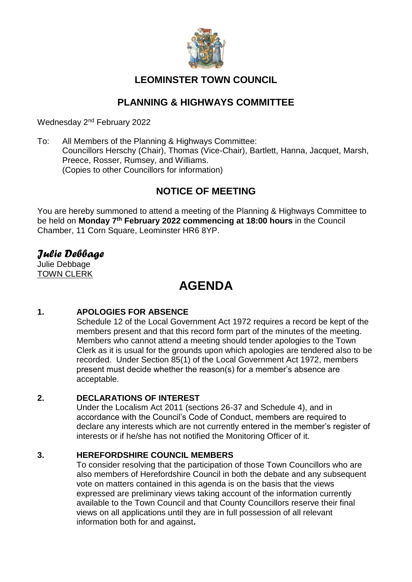

# **LEOMINSTER TOWN COUNCIL**

# **PLANNING & HIGHWAYS COMMITTEE**

Wednesday 2<sup>nd</sup> February 2022

To: All Members of the Planning & Highways Committee: Councillors Herschy (Chair), Thomas (Vice-Chair), Bartlett, Hanna, Jacquet, Marsh, Preece, Rosser, Rumsey, and Williams. (Copies to other Councillors for information)

# **NOTICE OF MEETING**

You are hereby summoned to attend a meeting of the Planning & Highways Committee to be held on **Monday 7 th February 2022 commencing at 18:00 hours** in the Council Chamber, 11 Corn Square, Leominster HR6 8YP.

# *Julie Debbage*

Julie Debbage TOWN CLERK

# **AGENDA**

# **1. APOLOGIES FOR ABSENCE**

Schedule 12 of the Local Government Act 1972 requires a record be kept of the members present and that this record form part of the minutes of the meeting. Members who cannot attend a meeting should tender apologies to the Town Clerk as it is usual for the grounds upon which apologies are tendered also to be recorded. Under Section 85(1) of the Local Government Act 1972, members present must decide whether the reason(s) for a member's absence are acceptable.

## **2. DECLARATIONS OF INTEREST**

Under the Localism Act 2011 (sections 26-37 and Schedule 4), and in accordance with the Council's Code of Conduct, members are required to declare any interests which are not currently entered in the member's register of interests or if he/she has not notified the Monitoring Officer of it.

## **3. HEREFORDSHIRE COUNCIL MEMBERS**

To consider resolving that the participation of those Town Councillors who are also members of Herefordshire Council in both the debate and any subsequent vote on matters contained in this agenda is on the basis that the views expressed are preliminary views taking account of the information currently available to the Town Council and that County Councillors reserve their final views on all applications until they are in full possession of all relevant information both for and against**.**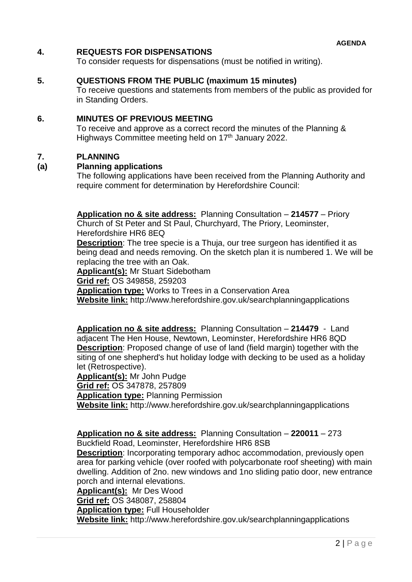### **4. REQUESTS FOR DISPENSATIONS**

To consider requests for dispensations (must be notified in writing).

### **5. QUESTIONS FROM THE PUBLIC (maximum 15 minutes)**

To receive questions and statements from members of the public as provided for in Standing Orders.

### **6. MINUTES OF PREVIOUS MEETING**

To receive and approve as a correct record the minutes of the Planning & Highways Committee meeting held on 17<sup>th</sup> January 2022.

### **7. PLANNING**

### **(a) Planning applications**

The following applications have been received from the Planning Authority and require comment for determination by Herefordshire Council:

**Application no & site address:** Planning Consultation – **214577** – Priory

Church of St Peter and St Paul, Churchyard, The Priory, Leominster, Herefordshire HR6 8EQ

**Description**: The tree specie is a Thuja, our tree surgeon has identified it as being dead and needs removing. On the sketch plan it is numbered 1. We will be replacing the tree with an Oak.

**Applicant(s):** Mr Stuart Sidebotham

**Grid ref:** OS 349858, 259203

**Application type:** Works to Trees in a Conservation Area

**Website link:** http://www.herefordshire.gov.uk/searchplanningapplications

**Application no & site address:** Planning Consultation – **214479** - Land adjacent The Hen House, Newtown, Leominster, Herefordshire HR6 8QD **Description**: Proposed change of use of land (field margin) together with the siting of one shepherd's hut holiday lodge with decking to be used as a holiday let (Retrospective).

**Applicant(s):** Mr John Pudge **Grid ref:** OS 347878, 257809 **Application type:** Planning Permission **Website link:** http://www.herefordshire.gov.uk/searchplanningapplications

**Application no & site address:** Planning Consultation – **220011** – 273

Buckfield Road, Leominster, Herefordshire HR6 8SB

**Description**: Incorporating temporary adhoc accommodation, previously open area for parking vehicle (over roofed with polycarbonate roof sheeting) with main dwelling. Addition of 2no. new windows and 1no sliding patio door, new entrance porch and internal elevations.

**Applicant(s):** Mr Des Wood

**Grid ref:** OS 348087, 258804

**Application type:** Full Householder

**Website link:** http://www.herefordshire.gov.uk/searchplanningapplications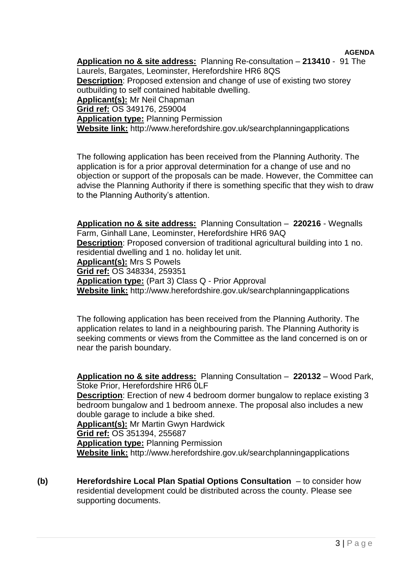**AGENDA Application no & site address:** Planning Re-consultation – **213410** - 91 The Laurels, Bargates, Leominster, Herefordshire HR6 8QS **Description**: Proposed extension and change of use of existing two storey outbuilding to self contained habitable dwelling. **Applicant(s):** Mr Neil Chapman **Grid ref:** OS 349176, 259004 **Application type:** Planning Permission **Website link:** http://www.herefordshire.gov.uk/searchplanningapplications

The following application has been received from the Planning Authority. The application is for a prior approval determination for a change of use and no objection or support of the proposals can be made. However, the Committee can advise the Planning Authority if there is something specific that they wish to draw to the Planning Authority's attention.

**Application no & site address:** Planning Consultation – **220216** - Wegnalls Farm, Ginhall Lane, Leominster, Herefordshire HR6 9AQ **Description**: Proposed conversion of traditional agricultural building into 1 no. residential dwelling and 1 no. holiday let unit. **Applicant(s):** Mrs S Powels **Grid ref:** OS 348334, 259351 **Application type:** (Part 3) Class Q - Prior Approval **Website link:** http://www.herefordshire.gov.uk/searchplanningapplications

The following application has been received from the Planning Authority. The application relates to land in a neighbouring parish. The Planning Authority is seeking comments or views from the Committee as the land concerned is on or near the parish boundary.

**Application no & site address:** Planning Consultation – **220132** – Wood Park, Stoke Prior, Herefordshire HR6 0LF **Description**: Erection of new 4 bedroom dormer bungalow to replace existing 3 bedroom bungalow and 1 bedroom annexe. The proposal also includes a new double garage to include a bike shed. **Applicant(s):** Mr Martin Gwyn Hardwick **Grid ref:** OS 351394, 255687 **Application type:** Planning Permission **Website link:** http://www.herefordshire.gov.uk/searchplanningapplications

**(b) Herefordshire Local Plan Spatial Options Consultation** – to consider how residential development could be distributed across the county. Please see supporting documents.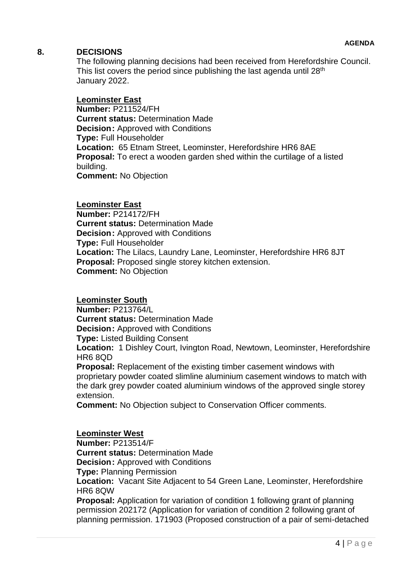## **8. DECISIONS**

The following planning decisions had been received from Herefordshire Council. This list covers the period since publishing the last agenda until  $28<sup>th</sup>$ January 2022.

### **Leominster East**

**Number: P211524/FH Current status:** Determination Made **Decision:** Approved with Conditions **Type:** Full Householder **Location:** 65 Etnam Street, Leominster, Herefordshire HR6 8AE **Proposal:** To erect a wooden garden shed within the curtilage of a listed building. **Comment:** No Objection

### **Leominster East**

**Number:** P214172/FH **Current status:** Determination Made **Decision:** Approved with Conditions **Type:** Full Householder **Location:** The Lilacs, Laundry Lane, Leominster, Herefordshire HR6 8JT **Proposal:** Proposed single storey kitchen extension. **Comment:** No Objection

### **Leominster South**

**Number:** P213764/L **Current status:** Determination Made **Decision:** Approved with Conditions **Type:** Listed Building Consent

**Location:** 1 Dishley Court, Ivington Road, Newtown, Leominster, Herefordshire HR6 8QD

**Proposal:** Replacement of the existing timber casement windows with proprietary powder coated slimline aluminium casement windows to match with the dark grey powder coated aluminium windows of the approved single storey extension.

**Comment:** No Objection subject to Conservation Officer comments.

### **Leominster West**

**Number:** P213514/F **Current status:** Determination Made **Decision:** Approved with Conditions **Type:** Planning Permission **Location:** Vacant Site Adjacent to 54 Green Lane, Leominster, Herefordshire HR6 8QW **Proposal:** Application for variation of condition 1 following grant of planning

permission 202172 (Application for variation of condition 2 following grant of planning permission. 171903 (Proposed construction of a pair of semi-detached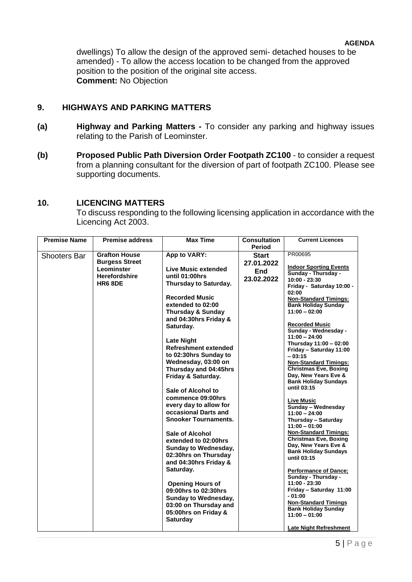dwellings) To allow the design of the approved semi- detached houses to be amended) - To allow the access location to be changed from the approved position to the position of the original site access. **Comment:** No Objection

## **9. HIGHWAYS AND PARKING MATTERS**

- **(a) Highway and Parking Matters -** To consider any parking and highway issues relating to the Parish of Leominster.
- **(b) Proposed Public Path Diversion Order Footpath ZC100** to consider a request from a planning consultant for the diversion of part of footpath ZC100. Please see supporting documents.

## **10. LICENCING MATTERS**

To discuss responding to the following licensing application in accordance with the Licencing Act 2003.

| <b>Premise Name</b> | <b>Premise address</b> | <b>Max Time</b>                                 | <b>Consultation</b> | <b>Current Licences</b>                             |
|---------------------|------------------------|-------------------------------------------------|---------------------|-----------------------------------------------------|
|                     |                        |                                                 | Period              |                                                     |
| <b>Shooters Bar</b> | <b>Grafton House</b>   | App to VARY:                                    | <b>Start</b>        | PR00695                                             |
|                     | <b>Burgess Street</b>  |                                                 | 27.01.2022          |                                                     |
|                     | Leominster             | Live Music extended                             | <b>End</b>          | <b>Indoor Sporting Events</b>                       |
|                     | <b>Herefordshire</b>   | until 01:00hrs                                  | 23.02.2022          | Sunday - Thursday -<br>$10:00 - 23:30$              |
|                     | <b>HR6 8DE</b>         | Thursday to Saturday.                           |                     | Friday - Saturday 10:00 -                           |
|                     |                        |                                                 |                     | 02:00                                               |
|                     |                        | <b>Recorded Music</b>                           |                     | <b>Non-Standard Timings:</b>                        |
|                     |                        | extended to 02:00                               |                     | <b>Bank Holiday Sunday</b>                          |
|                     |                        | <b>Thursday &amp; Sunday</b>                    |                     | $11:00 - 02:00$                                     |
|                     |                        | and 04:30hrs Friday &                           |                     |                                                     |
|                     |                        | Saturday.                                       |                     | <b>Recorded Music</b><br>Sunday - Wednesday -       |
|                     |                        |                                                 |                     | $11:00 - 24:00$                                     |
|                     |                        | <b>Late Night</b>                               |                     | Thursday 11:00 - 02:00                              |
|                     |                        | <b>Refreshment extended</b>                     |                     | Friday - Saturday 11:00                             |
|                     |                        | to 02:30hrs Sunday to                           |                     | $-03:15$                                            |
|                     |                        | Wednesday, 03:00 on                             |                     | <b>Non-Standard Timings:</b>                        |
|                     |                        | Thursday and 04:45hrs                           |                     | <b>Christmas Eve, Boxing</b>                        |
|                     |                        | Friday & Saturday.                              |                     | Day, New Years Eve &<br><b>Bank Holiday Sundays</b> |
|                     |                        |                                                 |                     | until 03:15                                         |
|                     |                        | Sale of Alcohol to                              |                     |                                                     |
|                     |                        | commence 09:00hrs                               |                     | <b>Live Music</b>                                   |
|                     |                        | every day to allow for                          |                     | Sunday - Wednesday                                  |
|                     |                        | occasional Darts and                            |                     | $11:00 - 24:00$                                     |
|                     |                        | <b>Snooker Tournaments.</b>                     |                     | Thursday - Saturday                                 |
|                     |                        |                                                 |                     | $11:00 - 01:00$<br><b>Non-Standard Timings:</b>     |
|                     |                        | <b>Sale of Alcohol</b>                          |                     | <b>Christmas Eve, Boxing</b>                        |
|                     |                        | extended to 02:00hrs                            |                     | Day, New Years Eve &                                |
|                     |                        | <b>Sunday to Wednesday,</b>                     |                     | <b>Bank Holiday Sundays</b>                         |
|                     |                        | 02:30hrs on Thursday                            |                     | until 03:15                                         |
|                     |                        | and 04:30hrs Friday &                           |                     |                                                     |
|                     |                        | Saturday.                                       |                     | <b>Performance of Dance;</b>                        |
|                     |                        |                                                 |                     | Sunday - Thursday -<br>11:00 - 23:30                |
|                     |                        | <b>Opening Hours of</b><br>09:00hrs to 02:30hrs |                     | Friday - Saturday 11:00                             |
|                     |                        | <b>Sunday to Wednesday,</b>                     |                     | - 01:00                                             |
|                     |                        | 03:00 on Thursday and                           |                     | <b>Non-Standard Timings</b>                         |
|                     |                        |                                                 |                     | <b>Bank Holiday Sunday</b>                          |
|                     |                        | 05:00hrs on Friday &<br><b>Saturday</b>         |                     | $11:00 - 01:00$                                     |
|                     |                        |                                                 |                     |                                                     |
|                     |                        |                                                 |                     | <b>Late Night Refreshment</b>                       |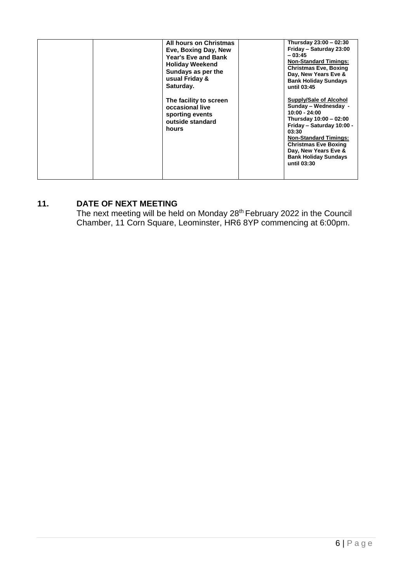## **11. DATE OF NEXT MEETING**

The next meeting will be held on Monday 28<sup>th</sup> February 2022 in the Council Chamber, 11 Corn Square, Leominster, HR6 8YP commencing at 6:00pm.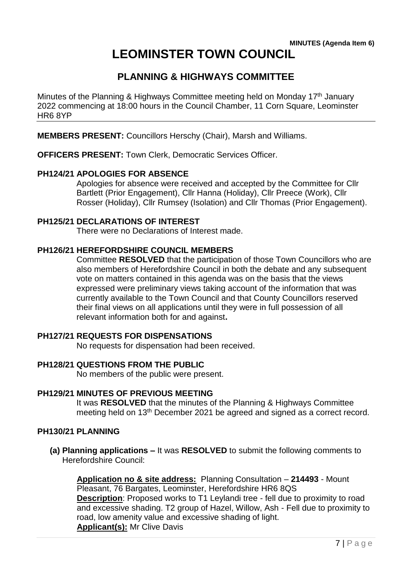# **LEOMINSTER TOWN COUNCIL**

# **PLANNING & HIGHWAYS COMMITTEE**

Minutes of the Planning & Highways Committee meeting held on Monday 17<sup>th</sup> January 2022 commencing at 18:00 hours in the Council Chamber, 11 Corn Square, Leominster HR6 8YP

**MEMBERS PRESENT:** Councillors Herschy (Chair), Marsh and Williams.

**OFFICERS PRESENT:** Town Clerk, Democratic Services Officer.

### **PH124/21 APOLOGIES FOR ABSENCE**

Apologies for absence were received and accepted by the Committee for Cllr Bartlett (Prior Engagement), Cllr Hanna (Holiday), Cllr Preece (Work), Cllr Rosser (Holiday), Cllr Rumsey (Isolation) and Cllr Thomas (Prior Engagement).

### **PH125/21 DECLARATIONS OF INTEREST**

There were no Declarations of Interest made.

## **PH126/21 HEREFORDSHIRE COUNCIL MEMBERS**

Committee **RESOLVED** that the participation of those Town Councillors who are also members of Herefordshire Council in both the debate and any subsequent vote on matters contained in this agenda was on the basis that the views expressed were preliminary views taking account of the information that was currently available to the Town Council and that County Councillors reserved their final views on all applications until they were in full possession of all relevant information both for and against**.**

### **PH127/21 REQUESTS FOR DISPENSATIONS**

No requests for dispensation had been received.

## **PH128/21 QUESTIONS FROM THE PUBLIC**

No members of the public were present.

### **PH129/21 MINUTES OF PREVIOUS MEETING**

It was **RESOLVED** that the minutes of the Planning & Highways Committee meeting held on 13th December 2021 be agreed and signed as a correct record.

### **PH130/21 PLANNING**

**(a) Planning applications –** It was **RESOLVED** to submit the following comments to Herefordshire Council:

**Application no & site address:** Planning Consultation – **214493** - Mount Pleasant, 76 Bargates, Leominster, Herefordshire HR6 8QS **Description:** Proposed works to T1 Leylandi tree - fell due to proximity to road and excessive shading. T2 group of Hazel, Willow, Ash - Fell due to proximity to road, low amenity value and excessive shading of light. **Applicant(s):** Mr Clive Davis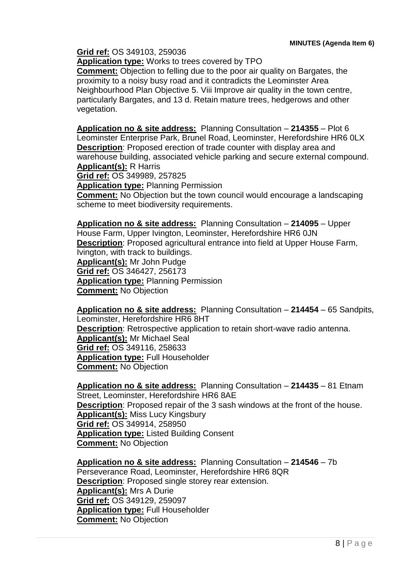**Grid ref:** OS 349103, 259036

**Application type:** Works to trees covered by TPO

**Comment:** Objection to felling due to the poor air quality on Bargates, the proximity to a noisy busy road and it contradicts the Leominster Area Neighbourhood Plan Objective 5. Viii Improve air quality in the town centre, particularly Bargates, and 13 d. Retain mature trees, hedgerows and other vegetation.

**Application no & site address:** Planning Consultation – **214355** – Plot 6 Leominster Enterprise Park, Brunel Road, Leominster, Herefordshire HR6 0LX **Description**: Proposed erection of trade counter with display area and warehouse building, associated vehicle parking and secure external compound. **Applicant(s):** R Harris

**Grid ref:** OS 349989, 257825

**Application type:** Planning Permission

**Comment:** No Objection but the town council would encourage a landscaping scheme to meet biodiversity requirements.

**Application no & site address:** Planning Consultation – **214095** – Upper House Farm, Upper Ivington, Leominster, Herefordshire HR6 0JN **Description**: Proposed agricultural entrance into field at Upper House Farm, Ivington, with track to buildings. **Applicant(s):** Mr John Pudge **Grid ref:** OS 346427, 256173 **Application type:** Planning Permission **Comment:** No Objection

**Application no & site address:** Planning Consultation – **214454** – 65 Sandpits, Leominster, Herefordshire HR6 8HT **Description**: Retrospective application to retain short-wave radio antenna. **Applicant(s):** Mr Michael Seal **Grid ref:** OS 349116, 258633 **Application type:** Full Householder **Comment:** No Objection

**Application no & site address:** Planning Consultation – **214435** – 81 Etnam Street, Leominster, Herefordshire HR6 8AE **Description**: Proposed repair of the 3 sash windows at the front of the house. **Applicant(s):** Miss Lucy Kingsbury **Grid ref:** OS 349914, 258950 **Application type:** Listed Building Consent **Comment:** No Objection

**Application no & site address:** Planning Consultation – **214546** – 7b Perseverance Road, Leominster, Herefordshire HR6 8QR **Description**: Proposed single storey rear extension. **Applicant(s):** Mrs A Durie **Grid ref:** OS 349129, 259097 **Application type:** Full Householder **Comment:** No Objection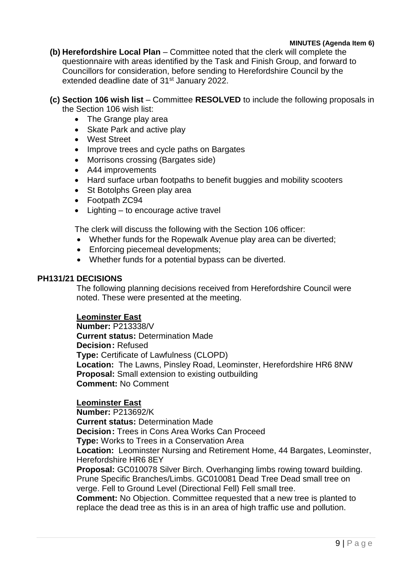### **MINUTES (Agenda Item 6)**

- **(b) Herefordshire Local Plan**  Committee noted that the clerk will complete the questionnaire with areas identified by the Task and Finish Group, and forward to Councillors for consideration, before sending to Herefordshire Council by the extended deadline date of 31<sup>st</sup> January 2022.
- **(c) Section 106 wish list**  Committee **RESOLVED** to include the following proposals in the Section 106 wish list:
	- The Grange play area
	- Skate Park and active play
	- West Street
	- Improve trees and cycle paths on Bargates
	- Morrisons crossing (Bargates side)
	- A44 improvements
	- Hard surface urban footpaths to benefit buggies and mobility scooters
	- St Botolphs Green play area
	- Footpath ZC94
	- Lighting to encourage active travel

The clerk will discuss the following with the Section 106 officer:

- Whether funds for the Ropewalk Avenue play area can be diverted;
- Enforcing piecemeal developments;
- Whether funds for a potential bypass can be diverted.

### **PH131/21 DECISIONS**

The following planning decisions received from Herefordshire Council were noted. These were presented at the meeting.

### **Leominster East**

**Number:** P213338/V **Current status:** Determination Made **Decision:** Refused **Type:** Certificate of Lawfulness (CLOPD) **Location:** The Lawns, Pinsley Road, Leominster, Herefordshire HR6 8NW **Proposal:** Small extension to existing outbuilding **Comment:** No Comment

### **Leominster East**

**Number:** P213692/K **Current status:** Determination Made **Decision:** Trees in Cons Area Works Can Proceed **Type:** Works to Trees in a Conservation Area **Location:** Leominster Nursing and Retirement Home, 44 Bargates, Leominster, Herefordshire HR6 8EY **Proposal:** GC010078 Silver Birch. Overhanging limbs rowing toward building. Prune Specific Branches/Limbs. GC010081 Dead Tree Dead small tree on verge. Fell to Ground Level (Directional Fell) Fell small tree. **Comment:** No Objection. Committee requested that a new tree is planted to

replace the dead tree as this is in an area of high traffic use and pollution.